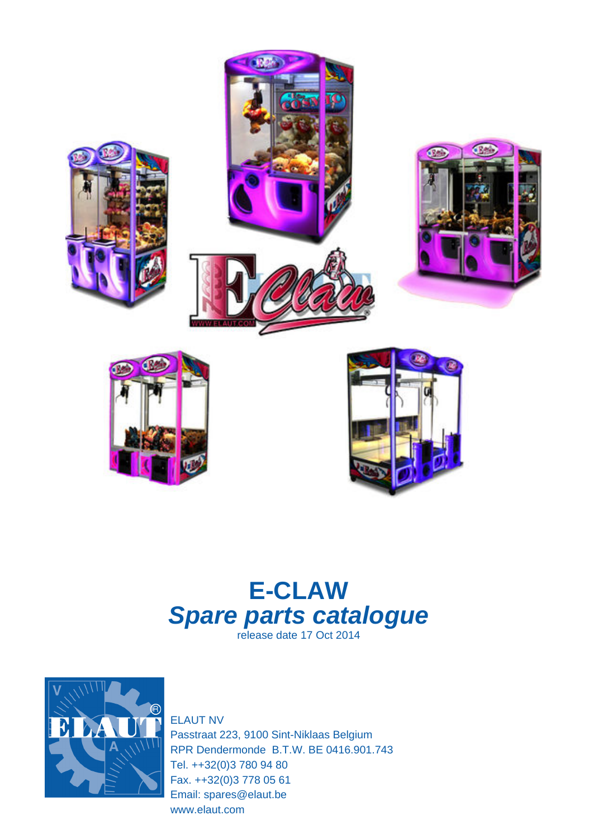

## **E-CLAW Spare parts catalogue** release date 17 Oct 2014



ELAUT NV Passtraat 223, 9100 Sint-Niklaas Belgium RPR Dendermonde B.T.W. BE 0416.901.743 Tel. ++32(0)3 780 94 80 Fax. ++32(0)3 778 05 61 Email: spares@elaut.be www.elaut.com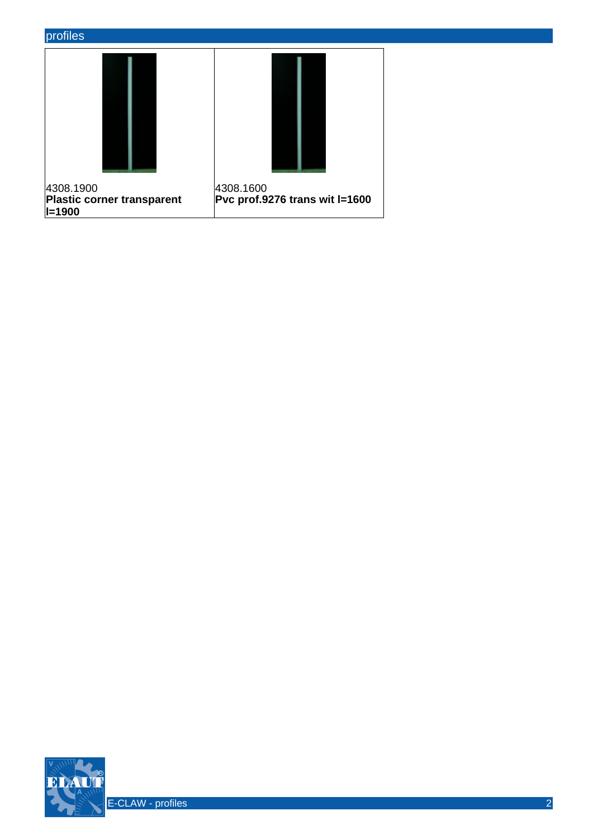# profiles 4308.1900 **Plastic corner transparent**   $|I=1900$ 4308.1600 **Pvc prof.9276 trans wit l=1600**

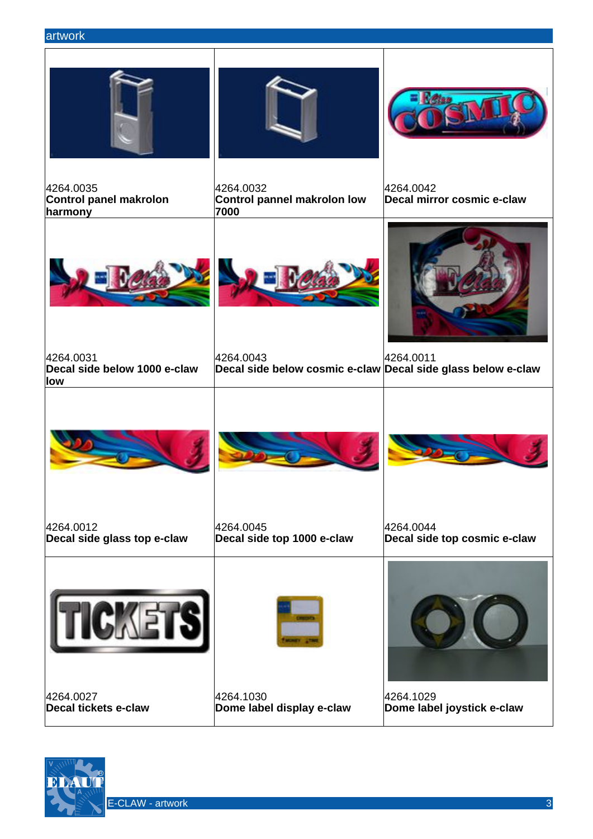#### artwork



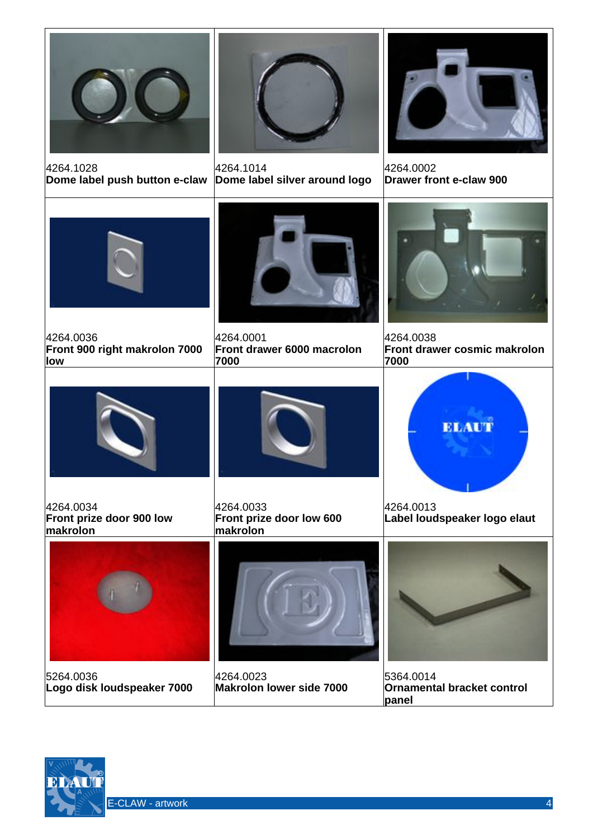

4264.1028 **Dome label push button e-claw**



4264.1014 **Dome label silver around logo**



4264.0002 **Drawer front e-claw 900**



4264.0036 **Front 900 right makrolon 7000 low**



4264.0001 **Front drawer 6000 macrolon 7000**



4264.0038 **Front drawer cosmic makrolon 7000**



4264.0034 **Front prize door 900 low makrolon**





4264.0013 **Label loudspeaker logo elaut**



5264.0036 **Logo disk loudspeaker 7000**



4264.0023 **Makrolon lower side 7000**



5364.0014 **Ornamental bracket control panel**

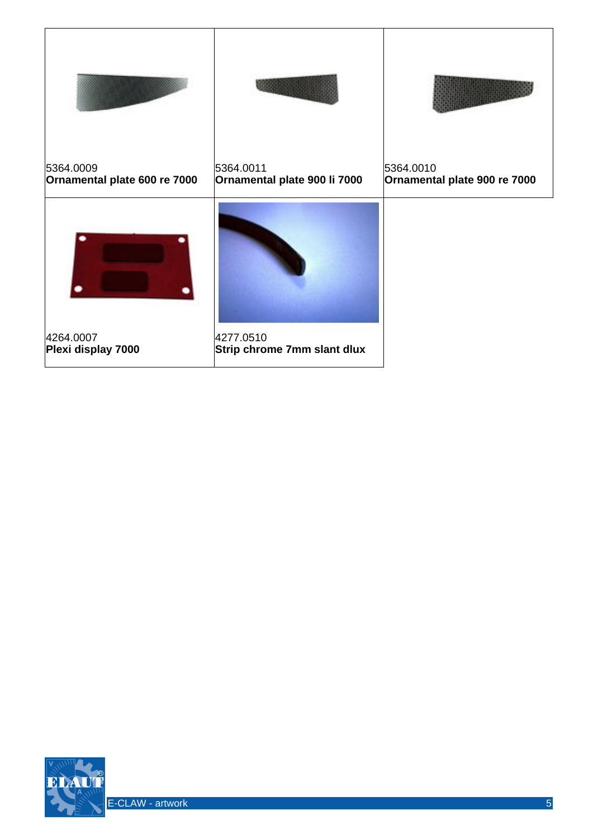| 5364.0009<br>Ornamental plate 600 re 7000 | 5364.0011<br>Ornamental plate 900 li 7000 | 5364.0010<br>Ornamental plate 900 re 7000 |
|-------------------------------------------|-------------------------------------------|-------------------------------------------|
|                                           |                                           |                                           |
| 4264.0007<br>Plexi display 7000           | 4277.0510<br>Strip chrome 7mm slant dlux  |                                           |

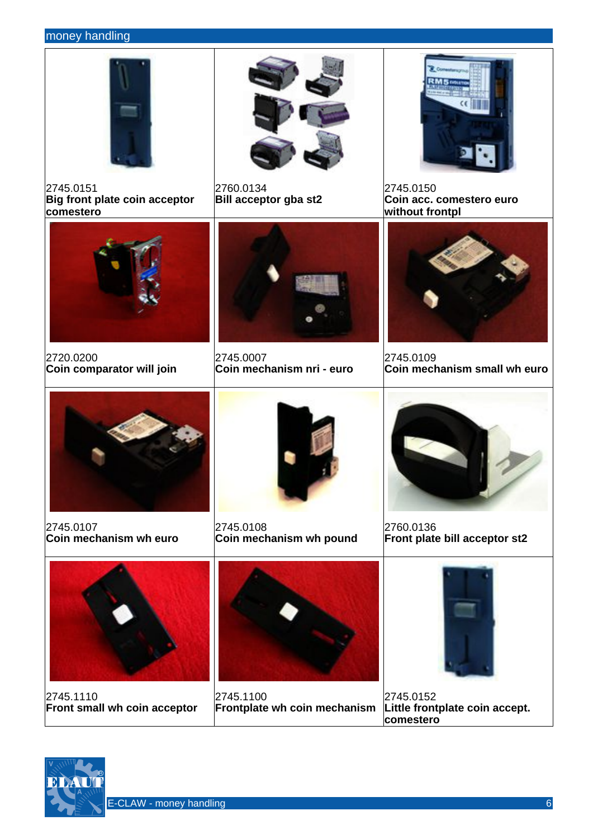#### money handling



2745.0151 **Big front plate coin acceptor comestero**



2760.0134 **Bill acceptor gba st2**



2745.0150 **Coin acc. comestero euro without frontpl**



2720.0200 **Coin comparator will join**



2745.0007 **Coin mechanism nri - euro**



2745.0109 **Coin mechanism small wh euro**



2745.0107 **Coin mechanism wh euro**



2745.0108 **Coin mechanism wh pound**



2760.0136 **Front plate bill acceptor st2**



2745.1110 **Front small wh coin acceptor**



2745.1100 **Frontplate wh coin mechanism**



2745.0152 **Little frontplate coin accept. comestero**

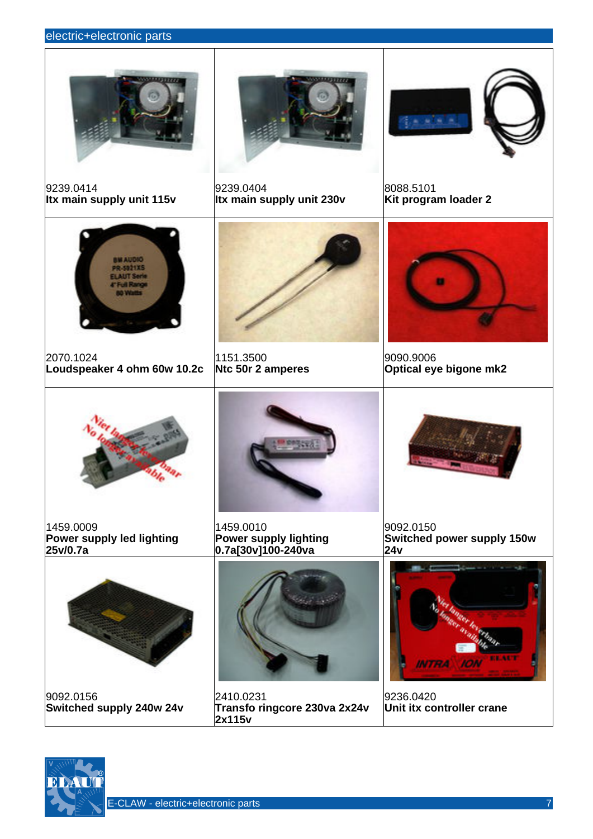#### electric+electronic parts



9239.0414 **Itx main supply unit 115v**



9239.0404 **Itx main supply unit 230v**





2070.1024 **Loudspeaker 4 ohm 60w 10.2c**



1151.3500 **Ntc 50r 2 amperes**



9090.9006 **Optical eye bigone mk2**



1459.0009 **Power supply led lighting 25v/0.7a**



1459.0010 **Power supply lighting 0.7a[30v]100-240va**





9092.0156 **Switched supply 240w 24v**



2410.0231 **Transfo ringcore 230va 2x24v 2x115v**





9236.0420 **Unit itx controller crane**

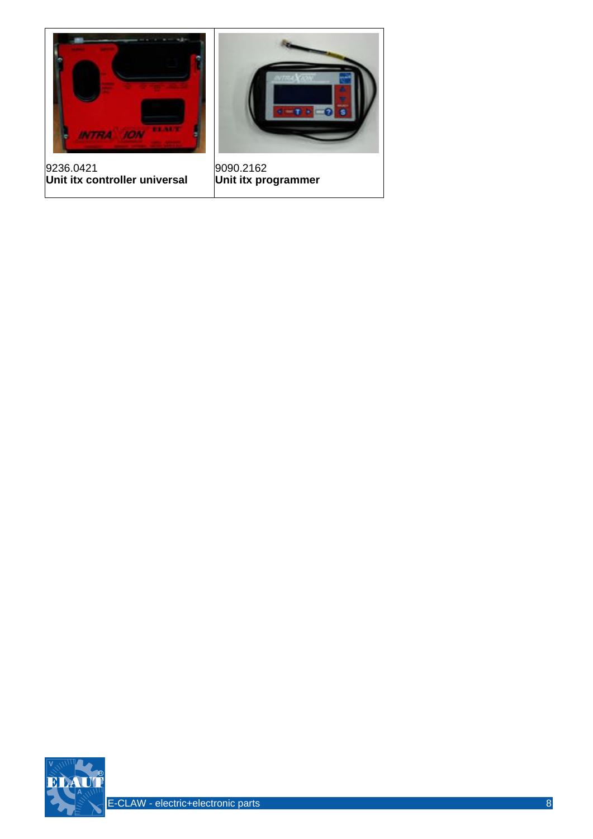

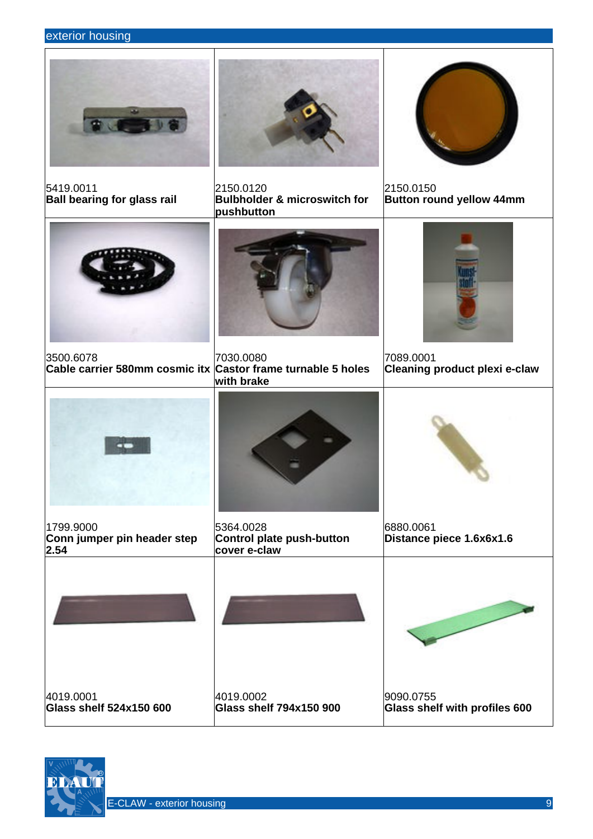### exterior housing



5419.0011 **Ball bearing for glass rail**



2150.0120 **Bulbholder & microswitch for pushbutton**



2150.0150 **Button round yellow 44mm**

| 3500.6078<br>Cable carrier 580mm cosmic itx Castor frame turnable 5 holes | 7030.0080<br>with brake                                       | 7089.0001<br><b>Cleaning product plexi e-claw</b> |
|---------------------------------------------------------------------------|---------------------------------------------------------------|---------------------------------------------------|
|                                                                           |                                                               |                                                   |
| 1799.9000<br>Conn jumper pin header step<br>2.54                          | 5364.0028<br><b>Control plate push-button</b><br>cover e-claw | 6880.0061<br>Distance piece 1.6x6x1.6             |
|                                                                           |                                                               |                                                   |
| 4019.0001<br><b>Glass shelf 524x150 600</b>                               | 4019.0002<br><b>Glass shelf 794x150 900</b>                   | 9090.0755<br>Glass shelf with profiles 600        |

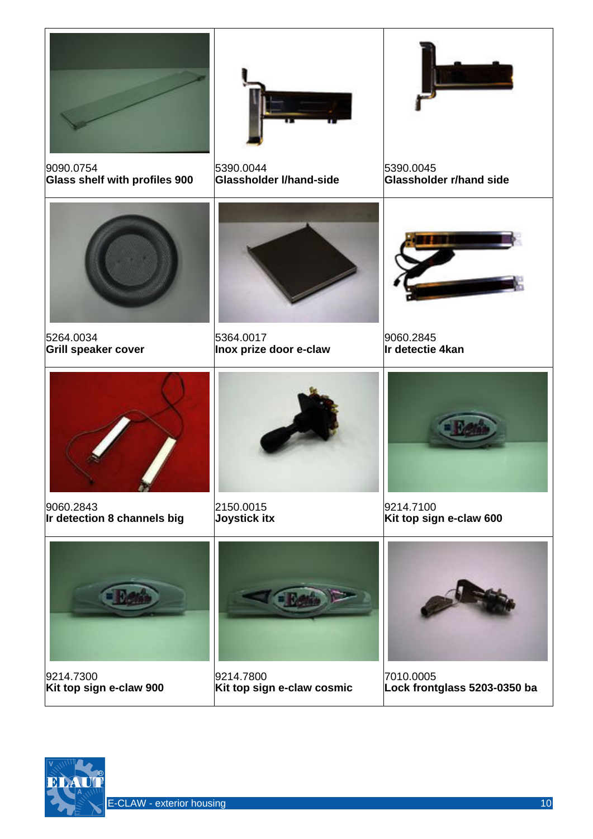

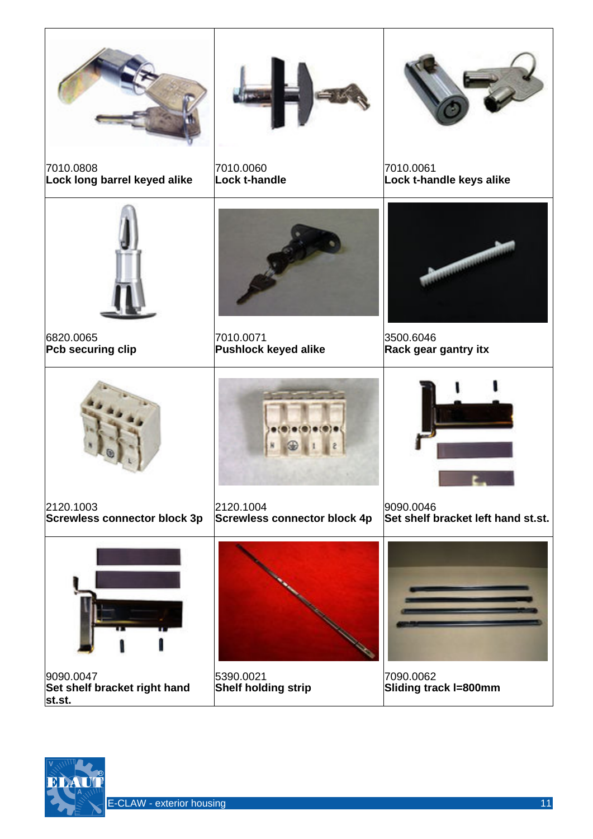

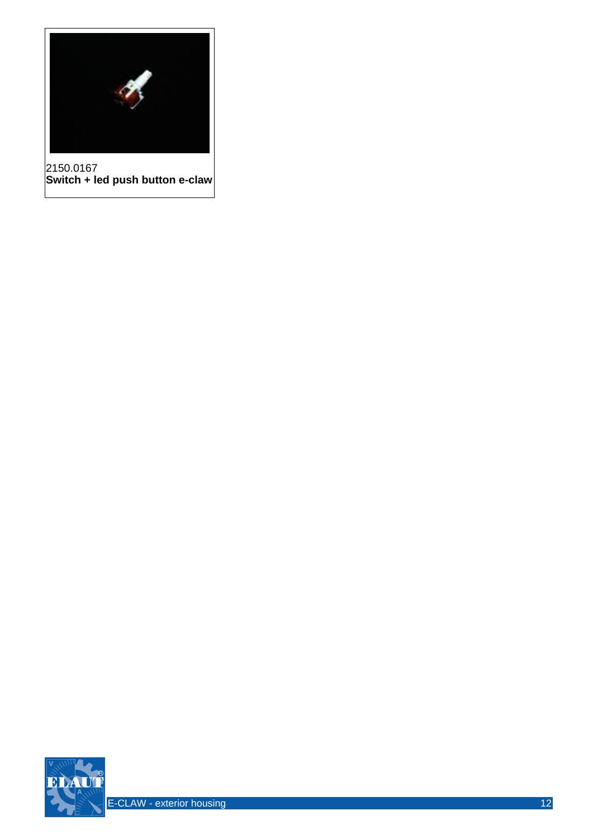

2150.0167 **Switch + led push button e-claw**

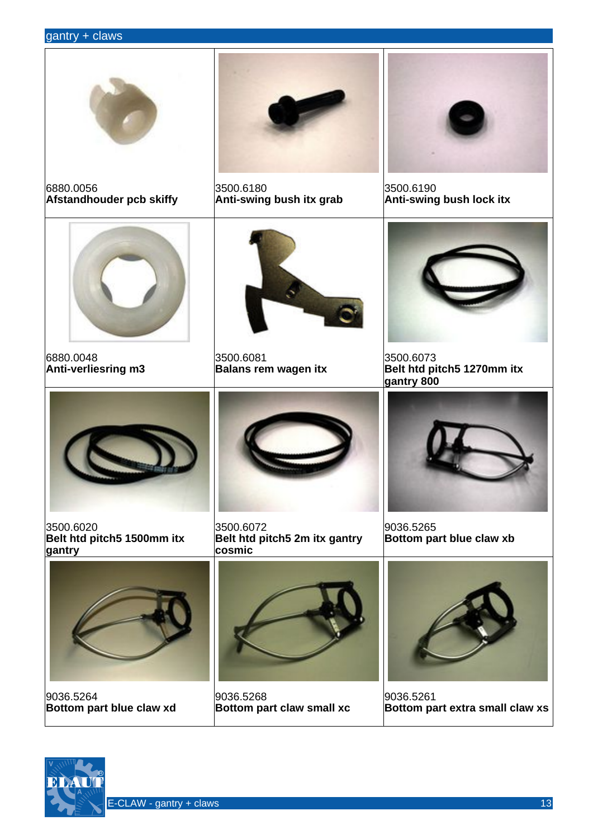#### gantry + claws



6880.0056 **Afstandhouder pcb skiffy**



3500.6180 **Anti-swing bush itx grab**



3500.6190 **Anti-swing bush lock itx**



6880.0048 **Anti-verliesring m3**



3500.6081 **Balans rem wagen itx**



3500.6073 **Belt htd pitch5 1270mm itx gantry 800**



3500.6020 **Belt htd pitch5 1500mm itx gantry**



3500.6072 **Belt htd pitch5 2m itx gantry cosmic**



9036.5265 **Bottom part blue claw xb**



9036.5264 **Bottom part blue claw xd**



9036.5268 **Bottom part claw small xc**



9036.5261 **Bottom part extra small claw xs**

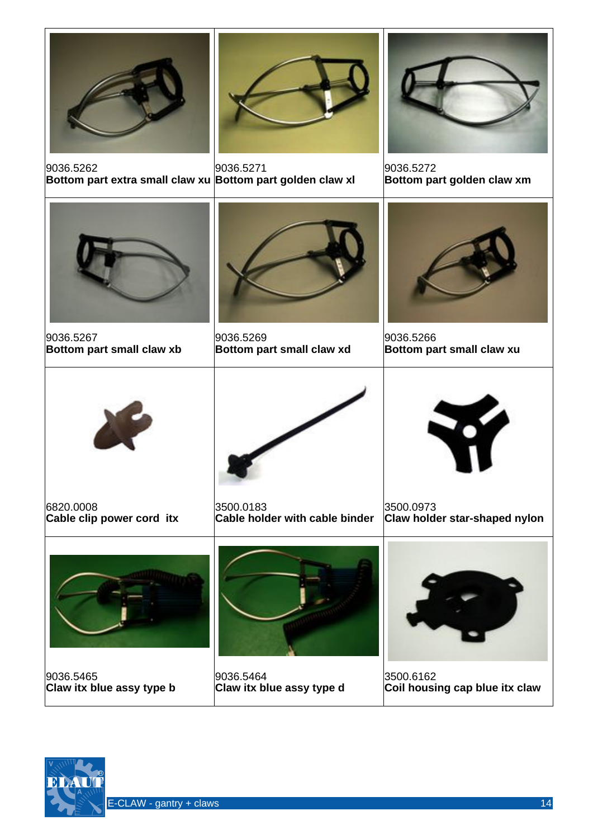

9036.5262



**Bottom part extra small claw xu Bottom part golden claw xl** 9036.5271



9036.5272 **Bottom part golden claw xm**



9036.5267 **Bottom part small claw xb**



9036.5269 **Bottom part small claw xd**



9036.5266 **Bottom part small claw xu**



6820.0008 **Cable clip power cord itx**



3500.0973 **Claw holder star-shaped nylon**



9036.5465 **Claw itx blue assy type b**



9036.5464 **Claw itx blue assy type d**



3500.6162 **Coil housing cap blue itx claw**

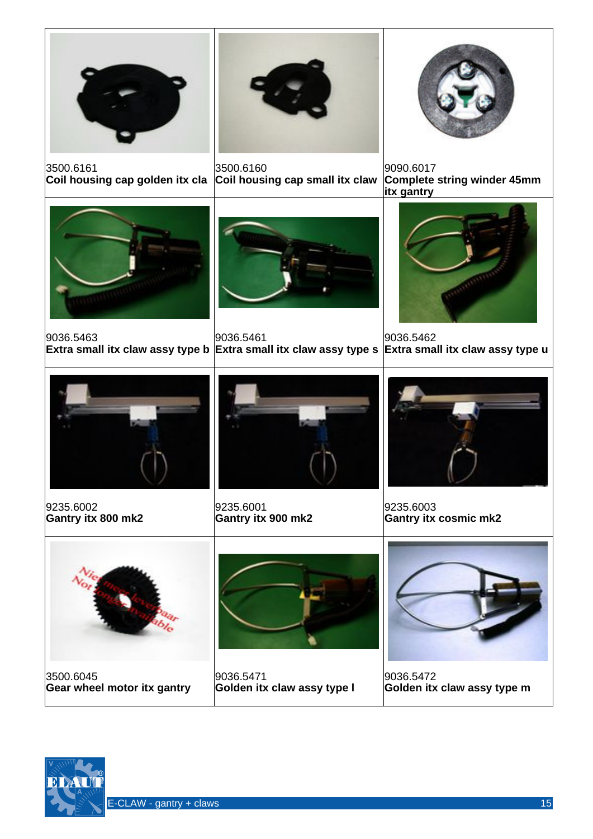





3500.6161 **Coil housing cap golden itx cla**

3500.6160 **Coil housing cap small itx claw**

9090.6017 **Complete string winder 45mm itx gantry**



9036.5463 **Extra small itx claw assy type b Extra small itx claw assy type s**



9036.5461 9036.5462



**Extra small itx claw assy type u**



9235.6002 **Gantry itx 800 mk2**



9235.6001 **Gantry itx 900 mk2**



9235.6003 **Gantry itx cosmic mk2**



3500.6045 **Gear wheel motor itx gantry**



9036.5471 **Golden itx claw assy type l**



9036.5472 **Golden itx claw assy type m**

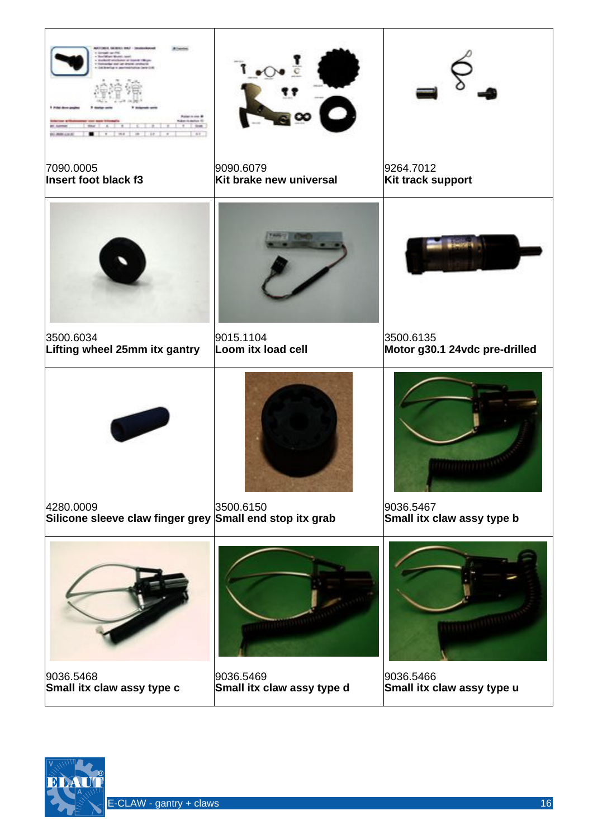

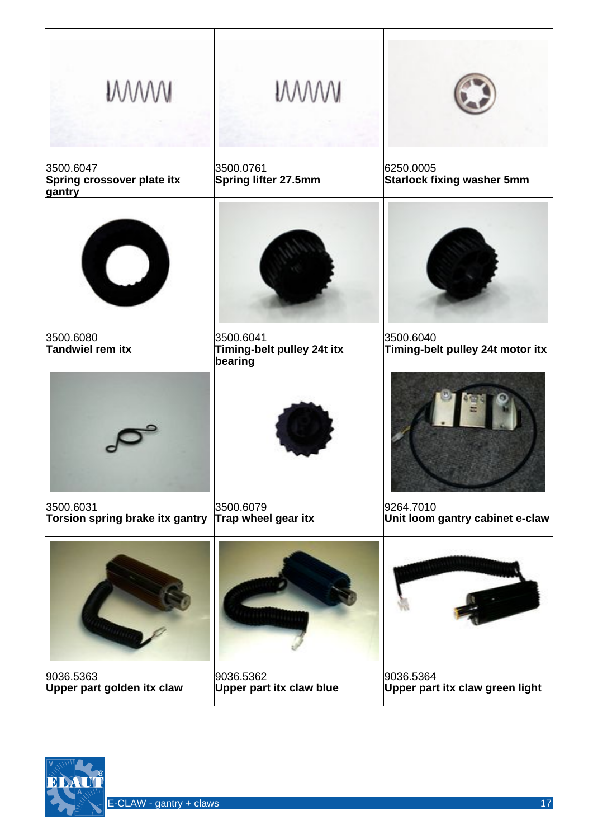| <b>MWW</b>                                        | <b>MWW</b>                                         |                                                |
|---------------------------------------------------|----------------------------------------------------|------------------------------------------------|
| 3500.6047<br>Spring crossover plate itx<br>gantry | 3500.0761<br>Spring lifter 27.5mm                  | 6250.0005<br><b>Starlock fixing washer 5mm</b> |
|                                                   |                                                    |                                                |
| 3500.6080<br><b>Tandwiel rem itx</b>              | 3500.6041<br>Timing-belt pulley 24t itx<br>bearing | 3500.6040<br>Timing-belt pulley 24t motor itx  |
|                                                   |                                                    |                                                |
| 3500.6031<br>Torsion spring brake itx gantry      | 3500.6079<br>Trap wheel gear itx                   | 9264.7010<br>Unit loom gantry cabinet e-claw   |
|                                                   |                                                    |                                                |
| 9036.5363<br>Upper part golden itx claw           | 9036.5362<br><b>Upper part itx claw blue</b>       | 9036.5364<br>Upper part itx claw green light   |

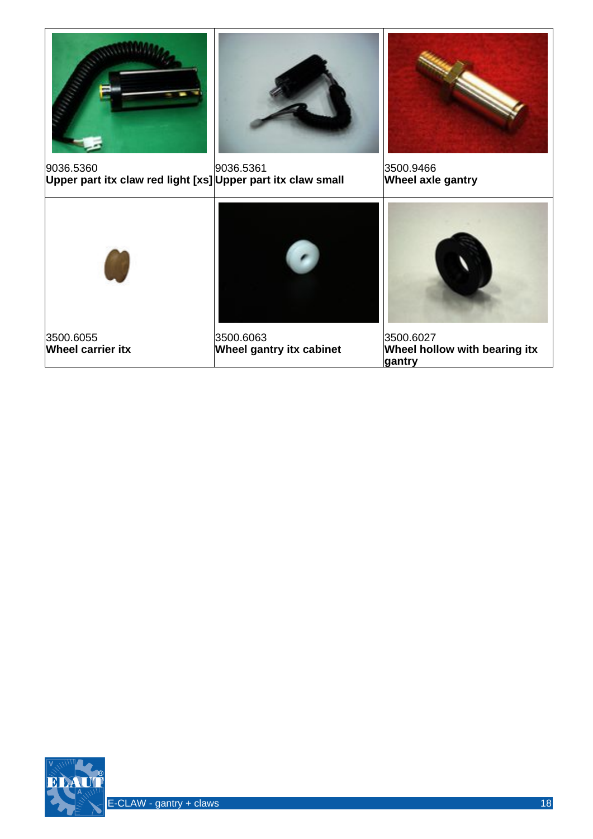



9036.5360 **Upper part itx claw red light [xs] Upper part itx claw small** 9036.5361



3500.9466 **Wheel axle gantry**





3500.6055 **Wheel carrier itx**

3500.6063 **Wheel gantry itx cabinet**



3500.6027 **Wheel hollow with bearing itx gantry**

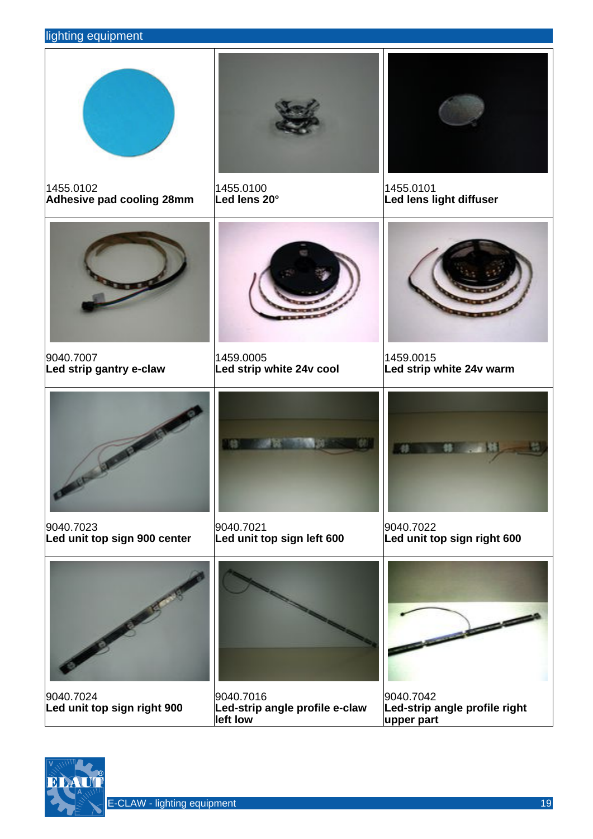#### lighting equipment



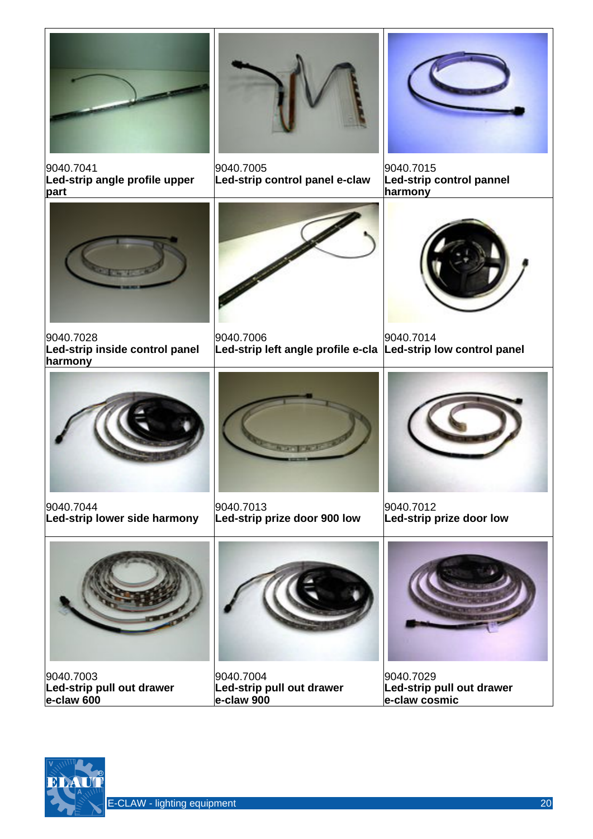

9040.7041 **Led-strip angle profile upper part**



9040.7005 **Led-strip control panel e-claw**



9040.7015 **Led-strip control pannel harmony**



9040.7028 **Led-strip inside control panel harmony**



9040.7006 **Led-strip left angle profile e-cla Led-strip low control panel**





9040.7044 **Led-strip lower side harmony**



9040.7013 **Led-strip prize door 900 low**



9040.7012 **Led-strip prize door low**



9040.7003 **Led-strip pull out drawer e-claw 600**



9040.7004 **Led-strip pull out drawer e-claw 900**



9040.7029 **Led-strip pull out drawer e-claw cosmic**

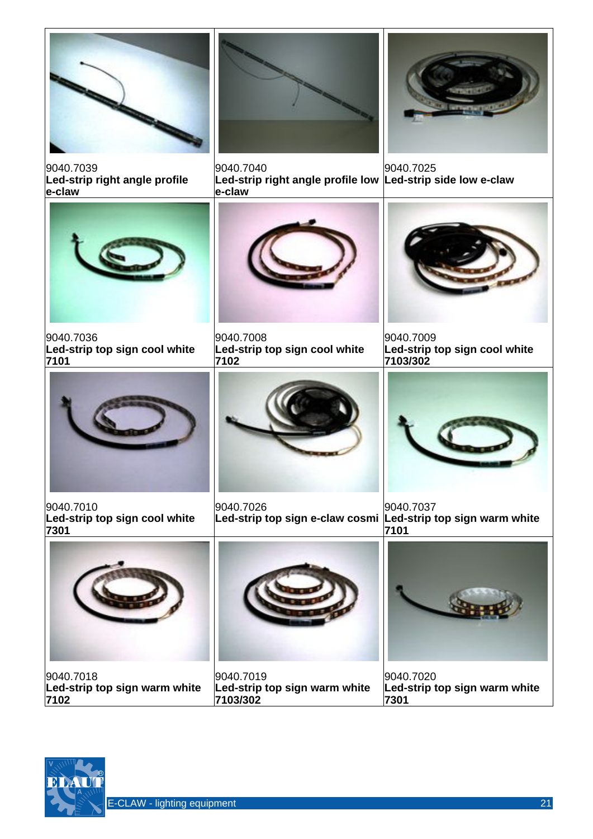

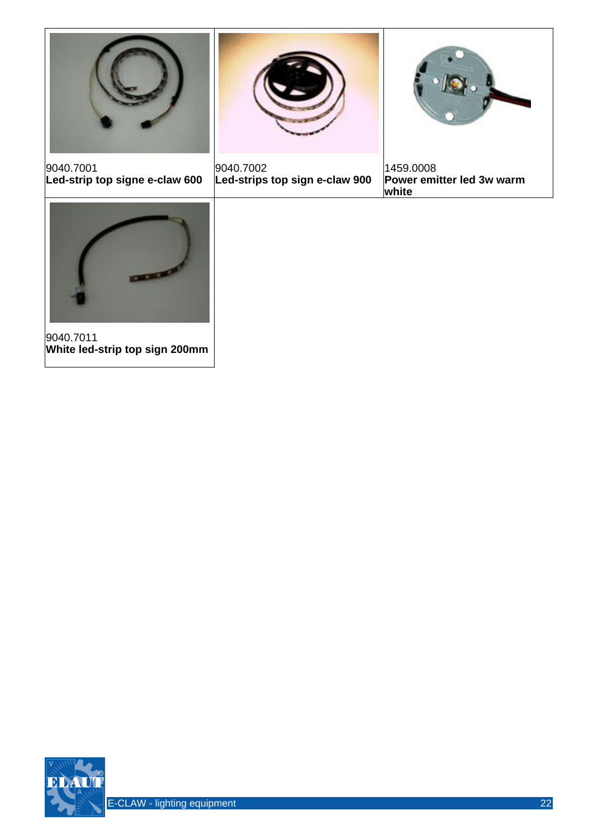





9040.7001 **Led-strip top signe e-claw 600** 9040.7002 **Led-strips top sign e-claw 900**

1459.0008 **Power emitter led 3w warm white**



9040.7011 **White led-strip top sign 200mm**

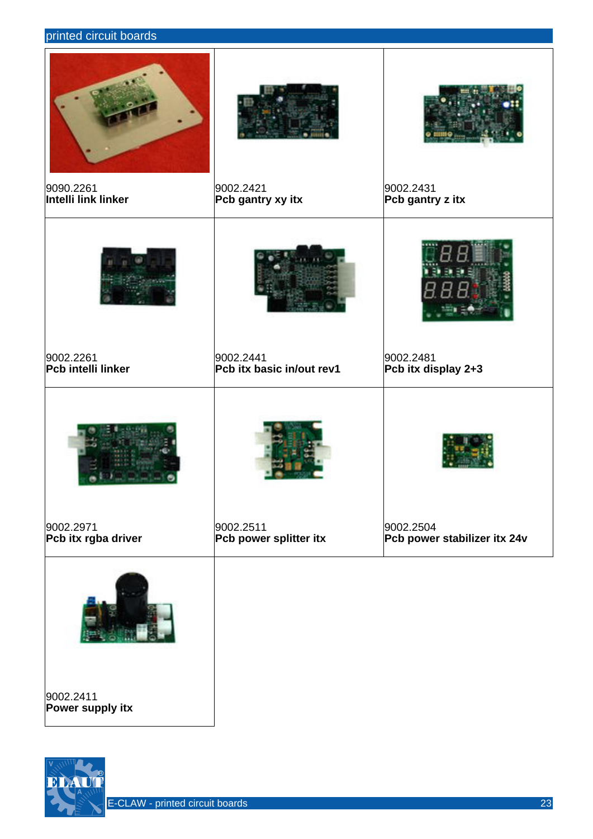|  | printed circuit boards |
|--|------------------------|
|  |                        |
|  |                        |

| 9090.2261<br>Intelli link linker | 9002.2421<br>Pcb gantry xy itx | 9002.2431<br>Pcb gantry z itx |
|----------------------------------|--------------------------------|-------------------------------|
| 9002.2261                        | 9002.2441                      | 9002.2481                     |
| Pcb intelli linker               | Pcb itx basic in/out rev1      | Pcb itx display 2+3           |
|                                  |                                |                               |
| 9002.2971                        | 9002.2511                      | 9002.2504                     |
| Pcb itx rgba driver              | Pcb power splitter itx         | Pcb power stabilizer itx 24v  |
|                                  |                                |                               |
| 9002.2411<br>Power supply itx    |                                |                               |

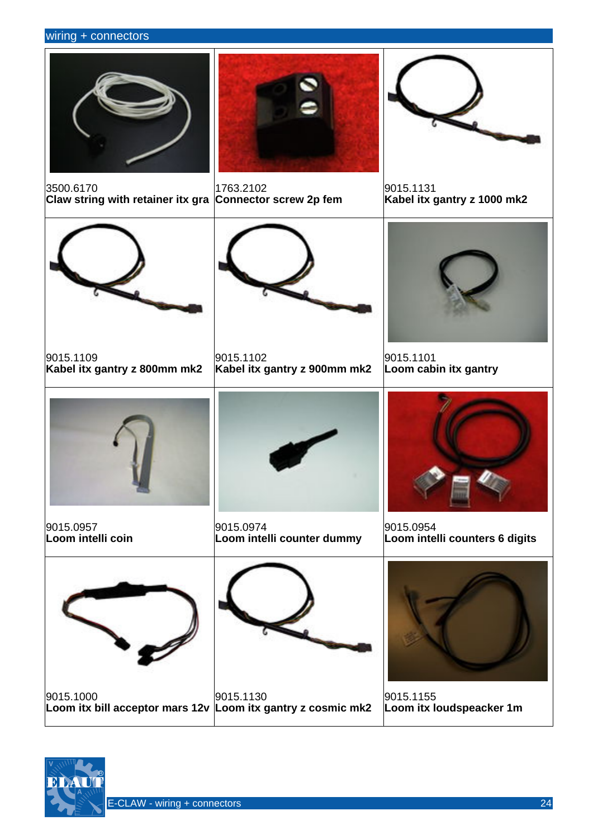#### wiring + connectors

3500.6170





**Claw string with retainer itx gra Connector screw 2p fem** 1763.2102



9015.1131 **Kabel itx gantry z 1000 mk2**



9015.1109 **Kabel itx gantry z 800mm mk2**



9015.1102 **Kabel itx gantry z 900mm mk2**



9015.1101 **Loom cabin itx gantry**



9015.0957 **Loom intelli coin**



9015.0974 **Loom intelli counter dummy**



9015.0954 **Loom intelli counters 6 digits**



9015.1000 **Loom itx bill acceptor mars 12v Loom itx gantry z cosmic mk2** 9015.1130



9015.1155 **Loom itx loudspeacker 1m**